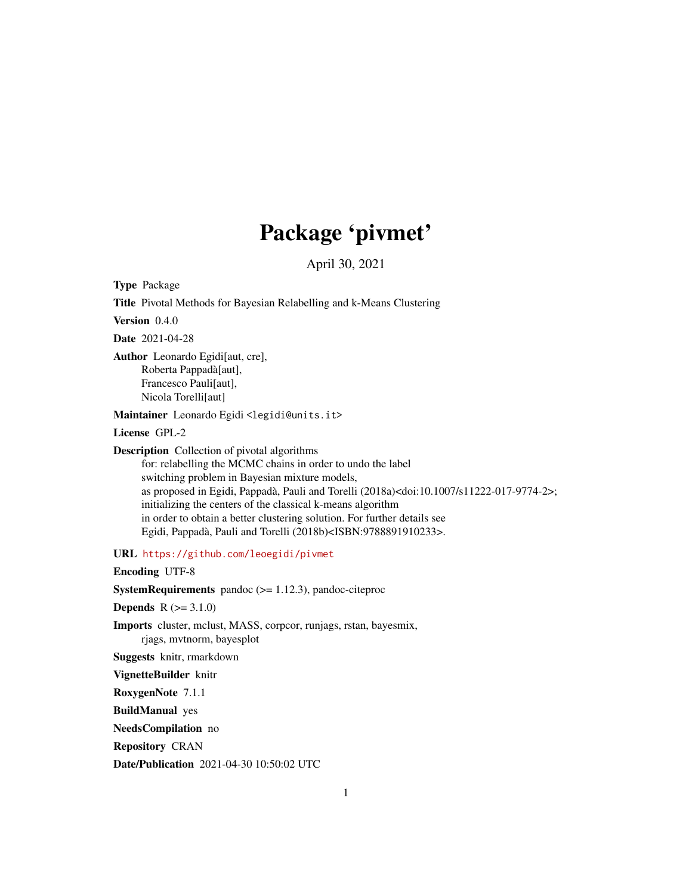## Package 'pivmet'

April 30, 2021

Type Package Title Pivotal Methods for Bayesian Relabelling and k-Means Clustering Version 0.4.0 Date 2021-04-28 Author Leonardo Egidi[aut, cre], Roberta Pappadà[aut], Francesco Pauli[aut], Nicola Torelli[aut] Maintainer Leonardo Egidi <legidi@units.it> License GPL-2 Description Collection of pivotal algorithms for: relabelling the MCMC chains in order to undo the label switching problem in Bayesian mixture models, as proposed in Egidi, Pappadà, Pauli and Torelli (2018a)<doi:10.1007/s11222-017-9774-2>; initializing the centers of the classical k-means algorithm in order to obtain a better clustering solution. For further details see Egidi, Pappadà, Pauli and Torelli (2018b)<ISBN:9788891910233>.

URL <https://github.com/leoegidi/pivmet>

Encoding UTF-8

**SystemRequirements** pandoc  $(>= 1.12.3)$ , pandoc-citeproc

**Depends**  $R (= 3.1.0)$ 

Imports cluster, mclust, MASS, corpcor, runjags, rstan, bayesmix, rjags, mvtnorm, bayesplot

Suggests knitr, rmarkdown

VignetteBuilder knitr

RoxygenNote 7.1.1

BuildManual yes

NeedsCompilation no

Repository CRAN

Date/Publication 2021-04-30 10:50:02 UTC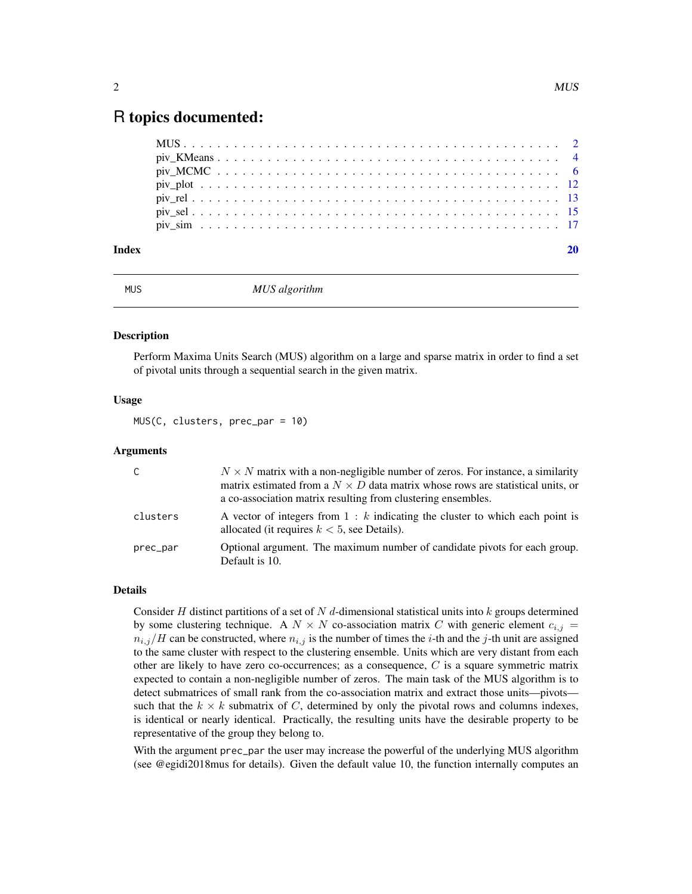### <span id="page-1-0"></span>R topics documented:

| Index |  |  |  |  |  |  |  |  |  |  |  |  |  |  |  |  |  |  |  |
|-------|--|--|--|--|--|--|--|--|--|--|--|--|--|--|--|--|--|--|--|
|       |  |  |  |  |  |  |  |  |  |  |  |  |  |  |  |  |  |  |  |
|       |  |  |  |  |  |  |  |  |  |  |  |  |  |  |  |  |  |  |  |
|       |  |  |  |  |  |  |  |  |  |  |  |  |  |  |  |  |  |  |  |
|       |  |  |  |  |  |  |  |  |  |  |  |  |  |  |  |  |  |  |  |
|       |  |  |  |  |  |  |  |  |  |  |  |  |  |  |  |  |  |  |  |
|       |  |  |  |  |  |  |  |  |  |  |  |  |  |  |  |  |  |  |  |
|       |  |  |  |  |  |  |  |  |  |  |  |  |  |  |  |  |  |  |  |

MUS *MUS algorithm*

#### Description

Perform Maxima Units Search (MUS) algorithm on a large and sparse matrix in order to find a set of pivotal units through a sequential search in the given matrix.

#### Usage

MUS(C, clusters, prec\_par = 10)

#### Arguments

| C.       | $N \times N$ matrix with a non-negligible number of zeros. For instance, a similarity<br>matrix estimated from a $N \times D$ data matrix whose rows are statistical units, or<br>a co-association matrix resulting from clustering ensembles. |
|----------|------------------------------------------------------------------------------------------------------------------------------------------------------------------------------------------------------------------------------------------------|
| clusters | A vector of integers from $1 : k$ indicating the cluster to which each point is<br>allocated (it requires $k < 5$ , see Details).                                                                                                              |
| prec_par | Optional argument. The maximum number of candidate pivots for each group.<br>Default is 10.                                                                                                                                                    |

#### Details

Consider H distinct partitions of a set of N d-dimensional statistical units into k groups determined by some clustering technique. A  $N \times N$  co-association matrix C with generic element  $c_{i,j}$  =  $n_{i,j}/H$  can be constructed, where  $n_{i,j}$  is the number of times the *i*-th and the *j*-th unit are assigned to the same cluster with respect to the clustering ensemble. Units which are very distant from each other are likely to have zero co-occurrences; as a consequence,  $C$  is a square symmetric matrix expected to contain a non-negligible number of zeros. The main task of the MUS algorithm is to detect submatrices of small rank from the co-association matrix and extract those units—pivots such that the  $k \times k$  submatrix of C, determined by only the pivotal rows and columns indexes, is identical or nearly identical. Practically, the resulting units have the desirable property to be representative of the group they belong to.

With the argument prec\_par the user may increase the powerful of the underlying MUS algorithm (see @egidi2018mus for details). Given the default value 10, the function internally computes an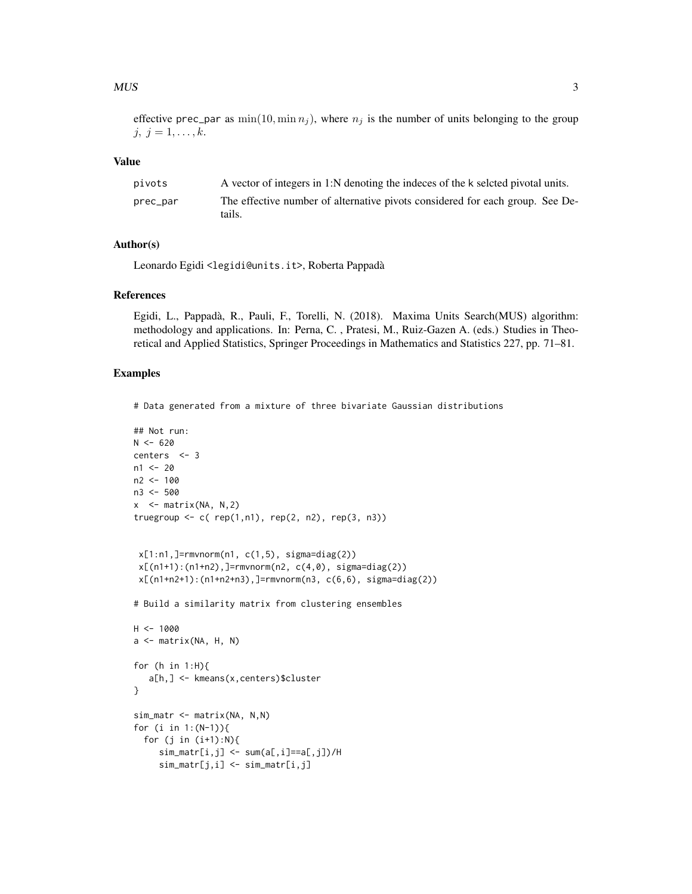#### $MUS$  3

effective prec\_par as  $\min(10, \min n_i)$ , where  $n_i$  is the number of units belonging to the group  $j, j = 1, \ldots, k.$ 

#### Value

| pivots   | A vector of integers in 1:N denoting the indeces of the k seleted pivotal units.        |
|----------|-----------------------------------------------------------------------------------------|
| prec_par | The effective number of alternative pivots considered for each group. See De-<br>tails. |

#### Author(s)

Leonardo Egidi <legidi@units.it>, Roberta Pappadà

#### References

Egidi, L., Pappadà, R., Pauli, F., Torelli, N. (2018). Maxima Units Search(MUS) algorithm: methodology and applications. In: Perna, C. , Pratesi, M., Ruiz-Gazen A. (eds.) Studies in Theoretical and Applied Statistics, Springer Proceedings in Mathematics and Statistics 227, pp. 71–81.

```
# Data generated from a mixture of three bivariate Gaussian distributions
```

```
## Not run:
N < - 620centers <- 3
n1 < -20n2 < -100n3 <- 500
x \le - matrix(NA, N, 2)
truegroup \leq c (rep(1,n1), rep(2, n2), rep(3, n3))
 x[1:n1,]=rmvnorm(n1, c(1,5), sigma=diag(2))
 x[(n1+1):(n1+n2),]-rmvnorm(n2, c(4,0), sigma=diag(2))x[(n1+n2+1):(n1+n2+n3),]=rmvnorm(n3, c(6,6), sigma=diag(2))
# Build a similarity matrix from clustering ensembles
H < - 1000a \leq - matrix(NA, H, N)
for (h in 1:H){
   a[h,] <- kmeans(x,centers)$cluster
}
sim_matr <- matrix(NA, N,N)
for (i in 1:(N-1)){
  for (j in (i+1):N){
     sim_matrix[i,j] < -sum(a[,i]=a[,j]/Hsim_matr[j,i] <- sim_matr[i,j]
```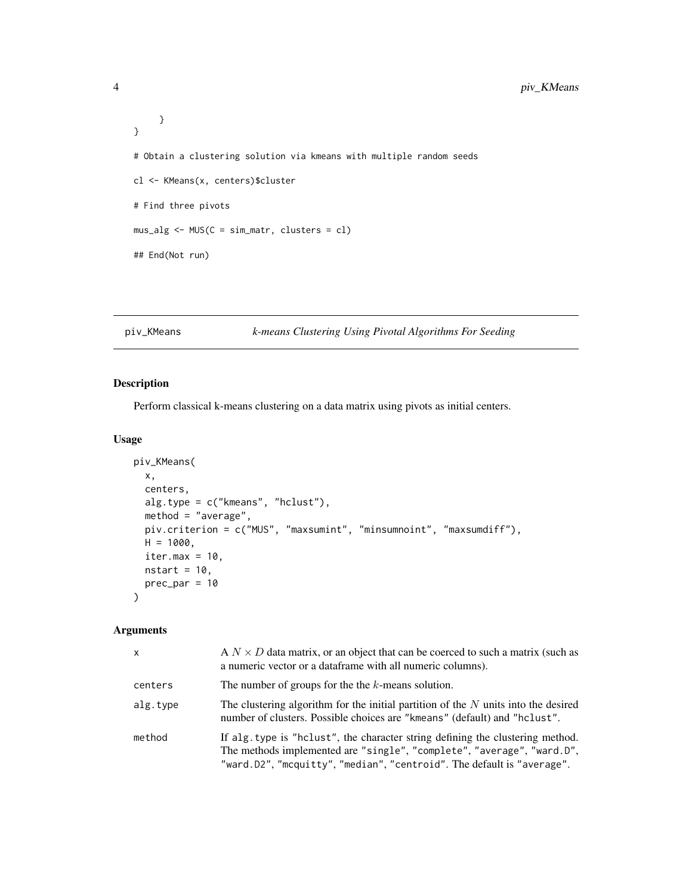```
}
}
# Obtain a clustering solution via kmeans with multiple random seeds
cl <- KMeans(x, centers)$cluster
# Find three pivots
mus_alg <- MUS(C = sim_matr, clusters = cl)
## End(Not run)
```
#### piv\_KMeans *k-means Clustering Using Pivotal Algorithms For Seeding*

#### Description

Perform classical k-means clustering on a data matrix using pivots as initial centers.

#### Usage

```
piv_KMeans(
 x,
 centers,
 alg.type = c("kmeans", "hclust"),
 method = "average",
 piv.criterion = c("MUS", "maxsumint", "minsumnoint", "maxsumdiff"),
 H = 1000,iter.max = 10,
 nstart = 10,
 prec\_par = 10)
```
#### Arguments

| x        | A $N \times D$ data matrix, or an object that can be coerced to such a matrix (such as<br>a numeric vector or a data frame with all numeric columns).                                                                              |
|----------|------------------------------------------------------------------------------------------------------------------------------------------------------------------------------------------------------------------------------------|
| centers  | The number of groups for the the $k$ -means solution.                                                                                                                                                                              |
| alg.type | The clustering algorithm for the initial partition of the $N$ units into the desired<br>number of clusters. Possible choices are "kmeans" (default) and "hclust".                                                                  |
| method   | If alg. type is "holast", the character string defining the clustering method.<br>The methods implemented are "single", "complete", "average", "ward.D",<br>"ward.D2", "mcquitty", "median", "centroid". The default is "average". |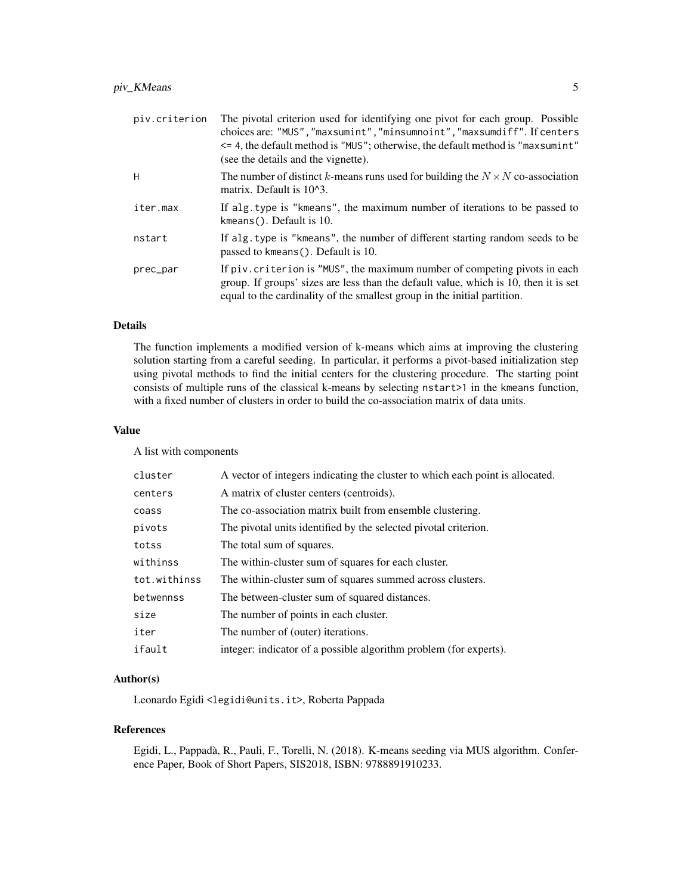#### piv\_KMeans 5

| piv.criterion | The pivotal criterion used for identifying one pivot for each group. Possible<br>choices are: "MUS", "maxsumint", "minsumnoint", "maxsumdiff". If centers<br>$\leq$ 4, the default method is "MUS"; otherwise, the default method is "maxsum int"<br>(see the details and the vignette). |
|---------------|------------------------------------------------------------------------------------------------------------------------------------------------------------------------------------------------------------------------------------------------------------------------------------------|
| H             | The number of distinct k-means runs used for building the $N \times N$ co-association<br>matrix. Default is $10^{4}3$ .                                                                                                                                                                  |
| iter.max      | If alg. type is "kmeans", the maximum number of iterations to be passed to<br>kmeans(). Default is $10$ .                                                                                                                                                                                |
| nstart        | If alg. type is "kmeans", the number of different starting random seeds to be<br>passed to kmeans (). Default is 10.                                                                                                                                                                     |
| prec_par      | If piv. criterion is "MUS", the maximum number of competing pivots in each<br>group. If groups' sizes are less than the default value, which is 10, then it is set<br>equal to the cardinality of the smallest group in the initial partition.                                           |

#### Details

The function implements a modified version of k-means which aims at improving the clustering solution starting from a careful seeding. In particular, it performs a pivot-based initialization step using pivotal methods to find the initial centers for the clustering procedure. The starting point consists of multiple runs of the classical k-means by selecting nstart>1 in the kmeans function, with a fixed number of clusters in order to build the co-association matrix of data units.

#### Value

A list with components

| cluster      | A vector of integers indicating the cluster to which each point is allocated. |
|--------------|-------------------------------------------------------------------------------|
| centers      | A matrix of cluster centers (centroids).                                      |
| coass        | The co-association matrix built from ensemble clustering.                     |
| pivots       | The pivotal units identified by the selected pivotal criterion.               |
| totss        | The total sum of squares.                                                     |
| withinss     | The within-cluster sum of squares for each cluster.                           |
| tot.withinss | The within-cluster sum of squares summed across clusters.                     |
| betwennss    | The between-cluster sum of squared distances.                                 |
| size         | The number of points in each cluster.                                         |
| iter         | The number of (outer) iterations.                                             |
| ifault       | integer: indicator of a possible algorithm problem (for experts).             |
|              |                                                                               |

#### Author(s)

Leonardo Egidi <legidi@units.it>, Roberta Pappada

#### References

Egidi, L., Pappadà, R., Pauli, F., Torelli, N. (2018). K-means seeding via MUS algorithm. Conference Paper, Book of Short Papers, SIS2018, ISBN: 9788891910233.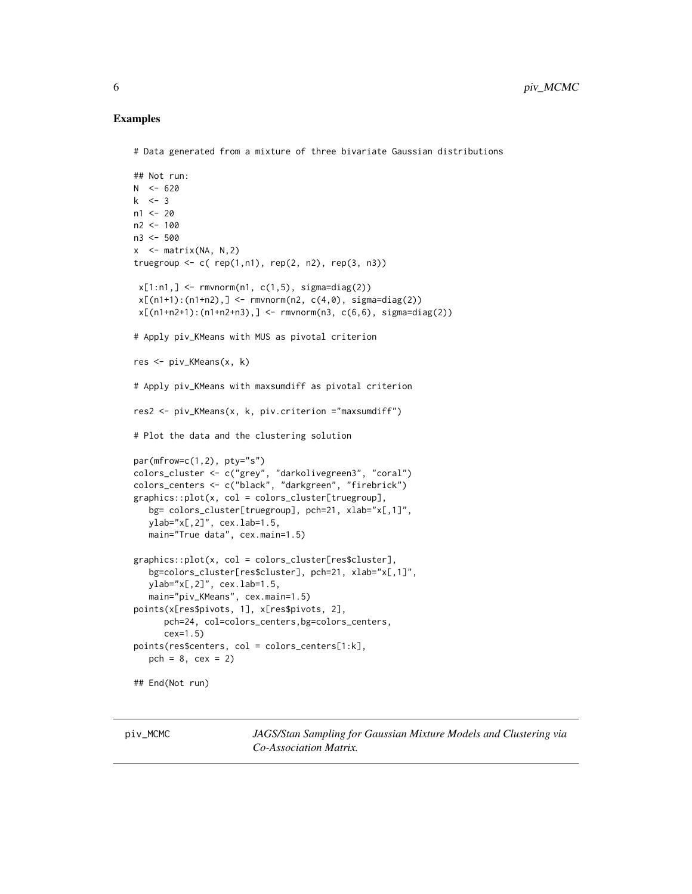#### <span id="page-5-0"></span>Examples

```
# Data generated from a mixture of three bivariate Gaussian distributions
```

```
## Not run:
N < -620k \leq -3n1 < -20n2 < -100n3 <- 500
x \le - matrix(NA, N, 2)
truegroup \leq c (rep(1,n1), rep(2, n2), rep(3, n3))
 x[1:n1, ] \leftarrow \text{rmvnorm}(n1, c(1,5), \text{sigma=diag}(2))x[(n1+1):(n1+n2),] < -rmvnorm(n2, c(4,0), sigma=diag(2))x[(n1+n2+1):(n1+n2+n3),] < -rmvnorm(n3, c(6,6), sigma=diag(2))# Apply piv_KMeans with MUS as pivotal criterion
res <- piv_KMeans(x, k)
# Apply piv_KMeans with maxsumdiff as pivotal criterion
res2 <- piv_KMeans(x, k, piv.criterion ="maxsumdiff")
# Plot the data and the clustering solution
par(mfrow=c(1,2), pty="s")colors_cluster <- c("grey", "darkolivegreen3", "coral")
colors_centers <- c("black", "darkgreen", "firebrick")
graphics::plot(x, col = colors_cluster[truegroup],
   bg= colors_cluster[truegroup], pch=21, xlab="x[,1]",
   ylab="x[,2]", cex.lab=1.5,
   main="True data", cex.main=1.5)
graphics::plot(x, col = colors_cluster[res$cluster],
   bg=colors_cluster[res$cluster], pch=21, xlab="x[,1]",
   ylab="x[,2]", cex.lab=1.5,
   main="piv_KMeans", cex.main=1.5)
points(x[res$pivots, 1], x[res$pivots, 2],
      pch=24, col=colors_centers,bg=colors_centers,
      cex=1.5)
points(res$centers, col = colors_centers[1:k],
   pch = 8, cex = 2)
## End(Not run)
```
piv\_MCMC *JAGS/Stan Sampling for Gaussian Mixture Models and Clustering via Co-Association Matrix.*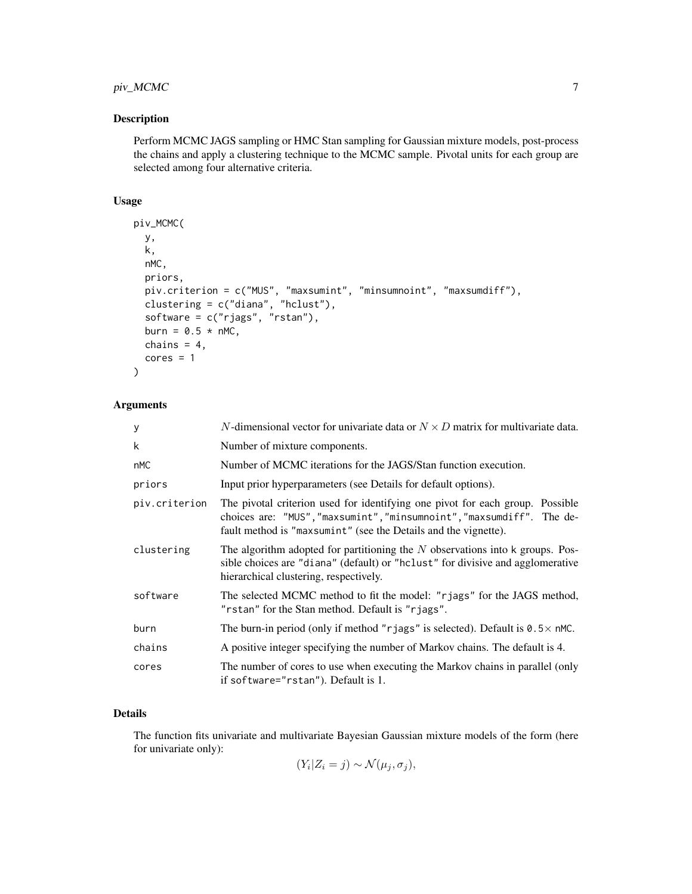#### piv\_MCMC 7

#### Description

Perform MCMC JAGS sampling or HMC Stan sampling for Gaussian mixture models, post-process the chains and apply a clustering technique to the MCMC sample. Pivotal units for each group are selected among four alternative criteria.

#### Usage

```
piv_MCMC(
  y,
  k,
  nMC,
  priors,
  piv.criterion = c("MUS", "maxsumint", "minsumnoint", "maxsumdiff"),
  clustering = c("diana", "hclust"),
  software = c("rjags", "rstan"),
  burn = 0.5 * nMC,
  chains = 4,
  cores = 1)
```
#### Arguments

| y             | N-dimensional vector for univariate data or $N \times D$ matrix for multivariate data.                                                                                                                                    |
|---------------|---------------------------------------------------------------------------------------------------------------------------------------------------------------------------------------------------------------------------|
| k             | Number of mixture components.                                                                                                                                                                                             |
| nMC           | Number of MCMC iterations for the JAGS/Stan function execution.                                                                                                                                                           |
| priors        | Input prior hyperparameters (see Details for default options).                                                                                                                                                            |
| piv.criterion | The pivotal criterion used for identifying one pivot for each group. Possible<br>choices are: "MUS", "maxsumint", "minsumnoint", "maxsumdiff". The de-<br>fault method is "maxsumint" (see the Details and the vignette). |
| clustering    | The algorithm adopted for partitioning the $N$ observations into k groups. Pos-<br>sible choices are "diana" (default) or "holight" for divisive and agglomerative<br>hierarchical clustering, respectively.              |
| software      | The selected MCMC method to fit the model: "rjags" for the JAGS method,<br>"rstan" for the Stan method. Default is "rjags".                                                                                               |
| burn          | The burn-in period (only if method "rjags" is selected). Default is $0.5 \times$ nMC.                                                                                                                                     |
| chains        | A positive integer specifying the number of Markov chains. The default is 4.                                                                                                                                              |
| cores         | The number of cores to use when executing the Markov chains in parallel (only<br>if software="rstan"). Default is 1.                                                                                                      |

#### Details

The function fits univariate and multivariate Bayesian Gaussian mixture models of the form (here for univariate only):

 $(Y_i | Z_i = j) \sim \mathcal{N}(\mu_j, \sigma_j),$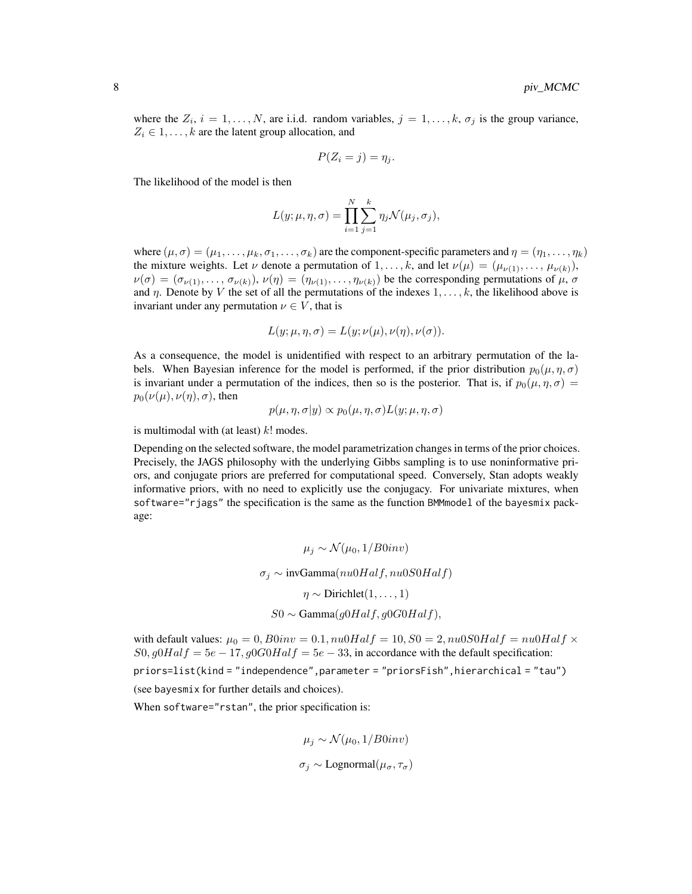where the  $Z_i$ ,  $i = 1, \ldots, N$ , are i.i.d. random variables,  $j = 1, \ldots, k$ ,  $\sigma_j$  is the group variance,  $Z_i \in 1, \ldots, k$  are the latent group allocation, and

$$
P(Z_i = j) = \eta_j.
$$

The likelihood of the model is then

$$
L(y; \mu, \eta, \sigma) = \prod_{i=1}^{N} \sum_{j=1}^{k} \eta_j \mathcal{N}(\mu_j, \sigma_j),
$$

where  $(\mu, \sigma) = (\mu_1, \dots, \mu_k, \sigma_1, \dots, \sigma_k)$  are the component-specific parameters and  $\eta = (\eta_1, \dots, \eta_k)$ the mixture weights. Let  $\nu$  denote a permutation of  $1, \ldots, k$ , and let  $\nu(\mu) = (\mu_{\nu(1)}, \ldots, \mu_{\nu(k)}),$  $\nu(\sigma) = (\sigma_{\nu(1)}, \dots, \sigma_{\nu(k)})$ ,  $\nu(\eta) = (\eta_{\nu(1)}, \dots, \eta_{\nu(k)})$  be the corresponding permutations of  $\mu$ ,  $\sigma$ and  $\eta$ . Denote by V the set of all the permutations of the indexes  $1, \ldots, k$ , the likelihood above is invariant under any permutation  $\nu \in V$ , that is

$$
L(y; \mu, \eta, \sigma) = L(y; \nu(\mu), \nu(\eta), \nu(\sigma)).
$$

As a consequence, the model is unidentified with respect to an arbitrary permutation of the labels. When Bayesian inference for the model is performed, if the prior distribution  $p_0(\mu, \eta, \sigma)$ is invariant under a permutation of the indices, then so is the posterior. That is, if  $p_0(\mu, \eta, \sigma)$  =  $p_0(\nu(\mu), \nu(\eta), \sigma)$ , then

$$
p(\mu, \eta, \sigma | y) \propto p_0(\mu, \eta, \sigma) L(y; \mu, \eta, \sigma)
$$

is multimodal with (at least)  $k!$  modes.

Depending on the selected software, the model parametrization changes in terms of the prior choices. Precisely, the JAGS philosophy with the underlying Gibbs sampling is to use noninformative priors, and conjugate priors are preferred for computational speed. Conversely, Stan adopts weakly informative priors, with no need to explicitly use the conjugacy. For univariate mixtures, when software="rjags" the specification is the same as the function BMMmodel of the bayesmix package:

$$
\mu_j \sim \mathcal{N}(\mu_0, 1/B0inv)
$$

$$
\sigma_j \sim \text{invGamma}(nu0Half, nu0S0Half)
$$

$$
\eta \sim \text{Dirichlet}(1, ..., 1)
$$

$$
S0 \sim \text{Gamma}(g0Half, g0G0Half),
$$

with default values:  $\mu_0 = 0$ ,  $B0inv = 0.1$ ,  $nu0Half = 10$ ,  $S0 = 2$ ,  $nu0S0Half = nu0Half \times$  $S_0$ ,  $g0Half = 5e - 17$ ,  $g0G0Half = 5e - 33$ , in accordance with the default specification:

priors=list(kind = "independence",parameter = "priorsFish",hierarchical = "tau") (see bayesmix for further details and choices).

When software="rstan", the prior specification is:

$$
\mu_j \sim \mathcal{N}(\mu_0, 1/B0inv)
$$
  

$$
\sigma_j \sim \text{Lognormal}(\mu_\sigma, \tau_\sigma)
$$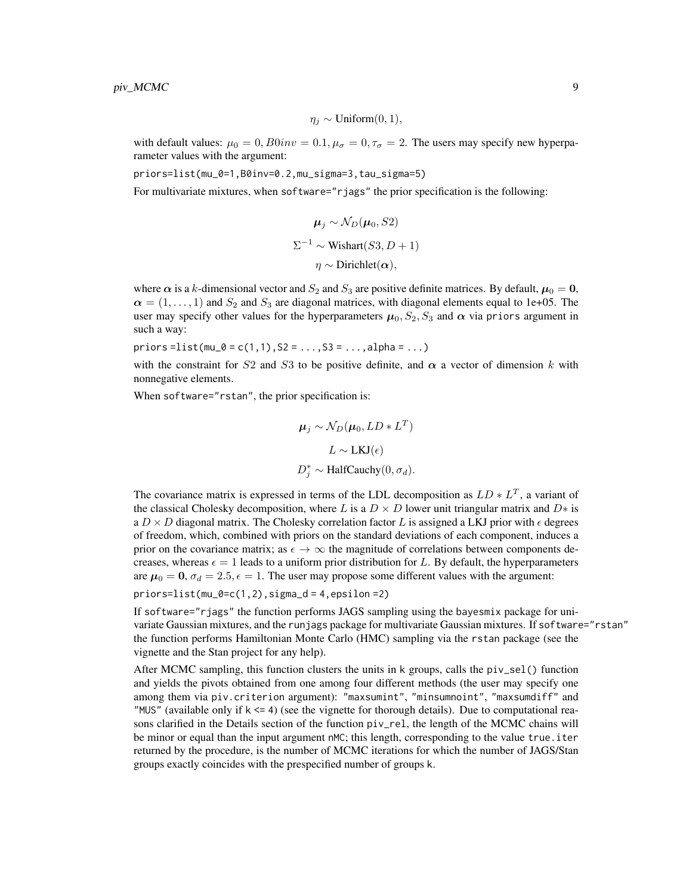$$
\eta_j \sim \text{Uniform}(0, 1),
$$

with default values:  $\mu_0 = 0$ ,  $B0inv = 0.1$ ,  $\mu_{\sigma} = 0$ ,  $\tau_{\sigma} = 2$ . The users may specify new hyperparameter values with the argument:

priors=list(mu\_0=1,B0inv=0.2,mu\_sigma=3,tau\_sigma=5)

For multivariate mixtures, when software="rjags" the prior specification is the following:

$$
\mu_j \sim \mathcal{N}_D(\mu_0, S2)
$$
  

$$
\Sigma^{-1} \sim \text{Wishart}(S3, D+1)
$$
  

$$
\eta \sim \text{Dirichlet}(\alpha),
$$

where  $\alpha$  is a k-dimensional vector and  $S_2$  and  $S_3$  are positive definite matrices. By default,  $\mu_0 = 0$ ,  $\alpha = (1, \ldots, 1)$  and  $S_2$  and  $S_3$  are diagonal matrices, with diagonal elements equal to 1e+05. The user may specify other values for the hyperparameters  $\mu_0$ ,  $S_2$ ,  $S_3$  and  $\alpha$  via priors argument in such a way:

priors=list(mu\_0 =  $c(1,1)$ ,  $S2 = ..., S3 = ...,alpha$ )

with the constraint for S2 and S3 to be positive definite, and  $\alpha$  a vector of dimension k with nonnegative elements.

When software="rstan", the prior specification is:

$$
\mu_j \sim \mathcal{N}_D(\mu_0, LD * L^T)
$$
  

$$
L \sim \text{LKJ}(\epsilon)
$$
  

$$
D_j^* \sim \text{HalfCauchy}(0, \sigma_d).
$$

The covariance matrix is expressed in terms of the LDL decomposition as  $LD * L<sup>T</sup>$ , a variant of the classical Cholesky decomposition, where L is a  $D \times D$  lower unit triangular matrix and  $D*$  is a  $D \times D$  diagonal matrix. The Cholesky correlation factor L is assigned a LKJ prior with  $\epsilon$  degrees of freedom, which, combined with priors on the standard deviations of each component, induces a prior on the covariance matrix; as  $\epsilon \to \infty$  the magnitude of correlations between components decreases, whereas  $\epsilon = 1$  leads to a uniform prior distribution for L. By default, the hyperparameters are  $\mu_0 = 0$ ,  $\sigma_d = 2.5$ ,  $\epsilon = 1$ . The user may propose some different values with the argument:

```
priors=list(mu_0=c(1,2),sigma_d = 4,epsilon =2)
```
If software="rjags" the function performs JAGS sampling using the bayesmix package for univariate Gaussian mixtures, and the runjags package for multivariate Gaussian mixtures. If software="rstan" the function performs Hamiltonian Monte Carlo (HMC) sampling via the rstan package (see the vignette and the Stan project for any help).

After MCMC sampling, this function clusters the units in  $k$  groups, calls the  $pi$ -sel() function and yields the pivots obtained from one among four different methods (the user may specify one among them via piv.criterion argument): "maxsumint", "minsumnoint", "maxsumdiff" and "MUS" (available only if  $k \le 4$ ) (see the vignette for thorough details). Due to computational reasons clarified in the Details section of the function piv\_rel, the length of the MCMC chains will be minor or equal than the input argument nMC; this length, corresponding to the value true.iter returned by the procedure, is the number of MCMC iterations for which the number of JAGS/Stan groups exactly coincides with the prespecified number of groups k.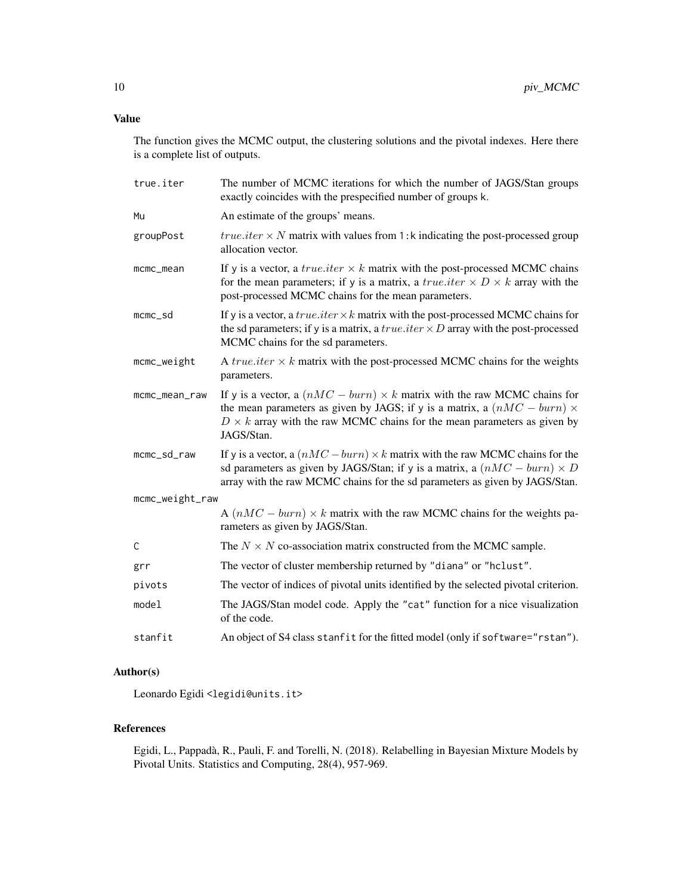#### Value

The function gives the MCMC output, the clustering solutions and the pivotal indexes. Here there is a complete list of outputs.

| true.iter       | The number of MCMC iterations for which the number of JAGS/Stan groups<br>exactly coincides with the prespecified number of groups k.                                                                                                                               |
|-----------------|---------------------------------------------------------------------------------------------------------------------------------------------------------------------------------------------------------------------------------------------------------------------|
| Mu              | An estimate of the groups' means.                                                                                                                                                                                                                                   |
| groupPost       | <i>true.iter</i> $\times$ <i>N</i> matrix with values from 1:k indicating the post-processed group<br>allocation vector.                                                                                                                                            |
| mcmc_mean       | If y is a vector, a <i>true.iter</i> $\times$ <i>k</i> matrix with the post-processed MCMC chains<br>for the mean parameters; if y is a matrix, a <i>true.iter</i> $\times D \times k$ array with the<br>post-processed MCMC chains for the mean parameters.        |
| $m$ cmc $_s$ d  | If y is a vector, a <i>true.iter</i> $\times k$ matrix with the post-processed MCMC chains for<br>the sd parameters; if y is a matrix, a <i>true.iter</i> $\times$ <i>D</i> array with the post-processed<br>MCMC chains for the sd parameters.                     |
| mcmc_weight     | A <i>true.iter</i> $\times$ <i>k</i> matrix with the post-processed MCMC chains for the weights<br>parameters.                                                                                                                                                      |
| mcmc_mean_raw   | If y is a vector, a $(nMC - burn) \times k$ matrix with the raw MCMC chains for<br>the mean parameters as given by JAGS; if y is a matrix, a $(nMC - burn) \times$<br>$D \times k$ array with the raw MCMC chains for the mean parameters as given by<br>JAGS/Stan. |
| mcmc_sd_raw     | If y is a vector, a $(nMC - burn) \times k$ matrix with the raw MCMC chains for the<br>sd parameters as given by JAGS/Stan; if y is a matrix, a $(nMC - burn) \times D$<br>array with the raw MCMC chains for the sd parameters as given by JAGS/Stan.              |
| mcmc_weight_raw |                                                                                                                                                                                                                                                                     |
|                 | A $(nMC - burn) \times k$ matrix with the raw MCMC chains for the weights pa-<br>rameters as given by JAGS/Stan.                                                                                                                                                    |
| C               | The $N \times N$ co-association matrix constructed from the MCMC sample.                                                                                                                                                                                            |
| grr             | The vector of cluster membership returned by "diana" or "hclust".                                                                                                                                                                                                   |
| pivots          | The vector of indices of pivotal units identified by the selected pivotal criterion.                                                                                                                                                                                |
| model           | The JAGS/Stan model code. Apply the "cat" function for a nice visualization<br>of the code.                                                                                                                                                                         |
| stanfit         | An object of S4 class stanfit for the fitted model (only if software="rstan").                                                                                                                                                                                      |

#### Author(s)

Leonardo Egidi <legidi@units.it>

#### References

Egidi, L., Pappadà, R., Pauli, F. and Torelli, N. (2018). Relabelling in Bayesian Mixture Models by Pivotal Units. Statistics and Computing, 28(4), 957-969.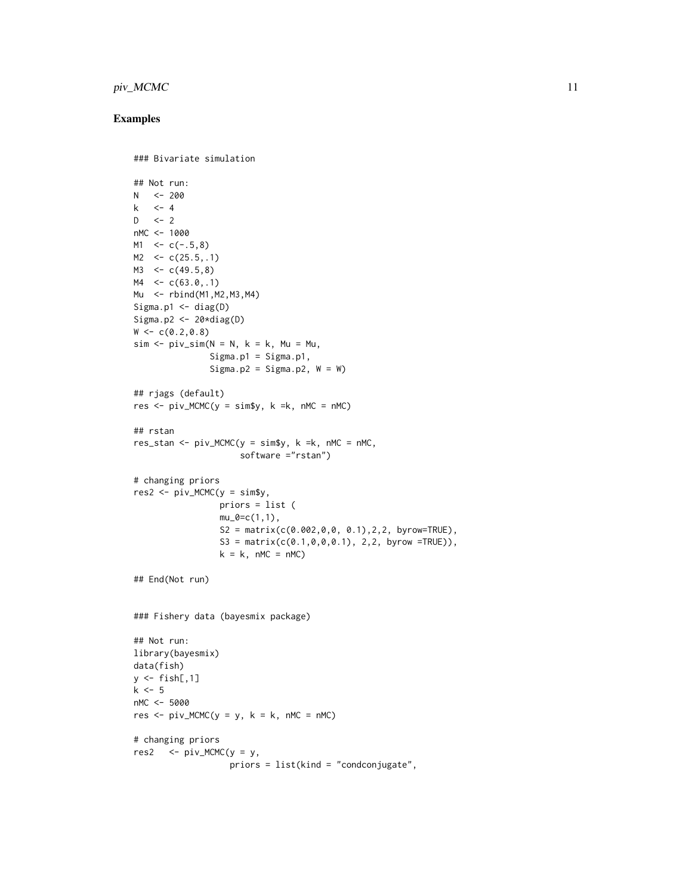#### piv\_MCMC 11

```
### Bivariate simulation
## Not run:
N < -200k <- 4
D \le -2nMC <- 1000
M1 < -c(-.5, 8)M2 < -c(25.5, .1)M3 \leq \leq C(49.5, 8)MA \leq c(63.0, .1)Mu <- rbind(M1,M2,M3,M4)
Sigma.p1 \leq diag(D)
Sigma.p2 \leftarrow 20*diag(D)
W < -c(0.2, 0.8)sim < - piv_sim(N = N, k = k, Mu = Mu,
                Signa.p1 = Signa.p1,Sigma.p2 = Sigma.p2, W = W)
## rjags (default)
res \le - piv_MCMC(y = sim$y, k =k, nMC = nMC)
## rstan
res_stan <- pi_MCMCMC(y = simsy, k = k, nMC = nMC,software ="rstan")
# changing priors
res2 < - piv_MCMC(y = sin$y,
                  priors = list (
                  mu_0 = c(1,1),S2 = matrix(c(0.002, 0, 0, 0.1), 2, 2, byrow=True),
                  S3 = matrix(c(0.1, 0, 0, 0.1), 2, 2, byrow = TRUE)),k = k, nMC = nMC)
## End(Not run)
### Fishery data (bayesmix package)
## Not run:
library(bayesmix)
data(fish)
y \leftarrow \text{fish[, 1]}k \leq -5nMC <- 5000
res \le piv_MCMC(y = y, k = k, nMC = nMC)
# changing priors
res2 \le - \text{piv_MCMC} (y = y,
                    priors = list(kind = "condconjugate",
```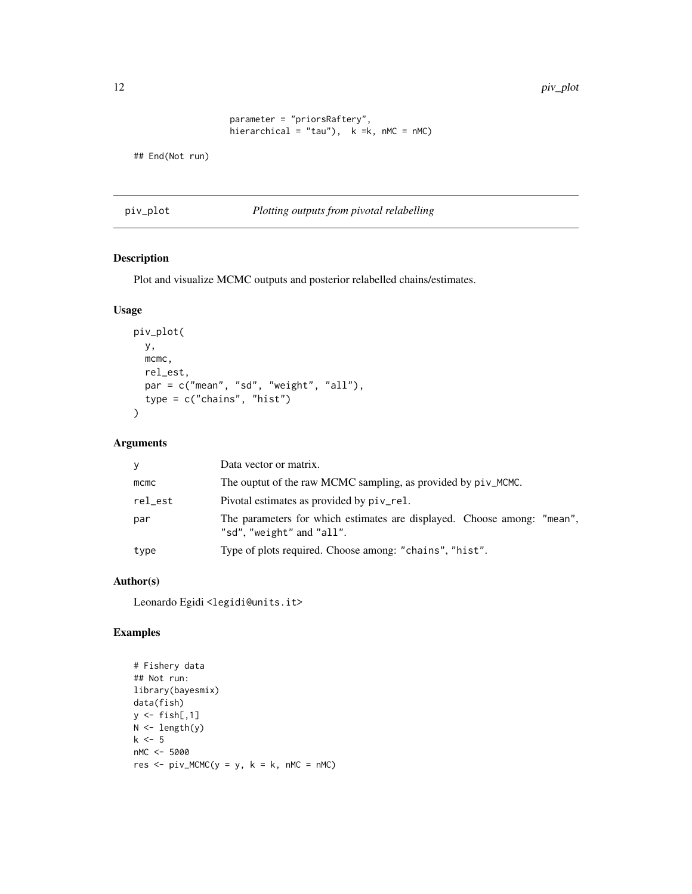<span id="page-11-0"></span>12 piv\_plot

```
parameter = "priorsRaftery",
hierarchical = "tau"), k = k, nMC = nMC)
```
## End(Not run)

piv\_plot *Plotting outputs from pivotal relabelling*

#### Description

Plot and visualize MCMC outputs and posterior relabelled chains/estimates.

#### Usage

```
piv_plot(
  y,
  mcmc,
  rel_est,
  par = c("mean", "sd", "weight", "all"),
  type = c("chains", "hist")
)
```
#### Arguments

| y       | Data vector or matrix.                                                                               |
|---------|------------------------------------------------------------------------------------------------------|
| $m$ cmc | The ouptut of the raw MCMC sampling, as provided by $pi \vee_M$ MCMC.                                |
| rel_est | Pivotal estimates as provided by piv_rel.                                                            |
| par     | The parameters for which estimates are displayed. Choose among: "mean",<br>"sd", "weight" and "all". |
| type    | Type of plots required. Choose among: "chains", "hist".                                              |

#### Author(s)

Leonardo Egidi <legidi@units.it>

```
# Fishery data
## Not run:
library(bayesmix)
data(fish)
y \leftarrow \text{fish[, 1]}N < - length(y)
k < -5nMC <- 5000
res \le piv_MCMC(y = y, k = k, nMC = nMC)
```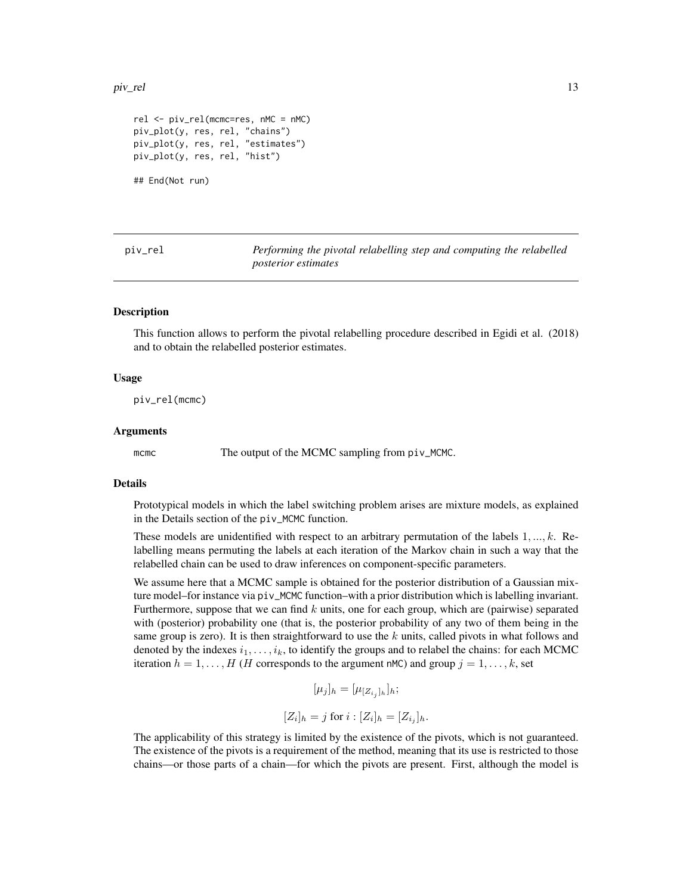#### <span id="page-12-0"></span>piv\_rel to the contract of the contract of the contract of the contract of the contract of the contract of the contract of the contract of the contract of the contract of the contract of the contract of the contract of the

```
rel <- piv_rel(mcmc=res, nMC = nMC)
piv_plot(y, res, rel, "chains")
piv_plot(y, res, rel, "estimates")
piv_plot(y, res, rel, "hist")
```
## End(Not run)

piv\_rel *Performing the pivotal relabelling step and computing the relabelled posterior estimates*

#### Description

This function allows to perform the pivotal relabelling procedure described in Egidi et al. (2018) and to obtain the relabelled posterior estimates.

#### Usage

piv\_rel(mcmc)

#### Arguments

mcmc The output of the MCMC sampling from piv\_MCMC.

#### Details

Prototypical models in which the label switching problem arises are mixture models, as explained in the Details section of the piv\_MCMC function.

These models are unidentified with respect to an arbitrary permutation of the labels  $1, \ldots, k$ . Relabelling means permuting the labels at each iteration of the Markov chain in such a way that the relabelled chain can be used to draw inferences on component-specific parameters.

We assume here that a MCMC sample is obtained for the posterior distribution of a Gaussian mixture model–for instance via piv\_MCMC function–with a prior distribution which is labelling invariant. Furthermore, suppose that we can find  $k$  units, one for each group, which are (pairwise) separated with (posterior) probability one (that is, the posterior probability of any two of them being in the same group is zero). It is then straightforward to use the  $k$  units, called pivots in what follows and denoted by the indexes  $i_1, \ldots, i_k$ , to identify the groups and to relabel the chains: for each MCMC iteration  $h = 1, \ldots, H$  (*H* corresponds to the argument nMC) and group  $j = 1, \ldots, k$ , set

$$
[\mu_j]_h = [\mu_{[Z_{i_j}]_h}]_h;
$$

$$
[Z_i]_h = j \text{ for } i : [Z_i]_h = [Z_{i_j}]_h.
$$

The applicability of this strategy is limited by the existence of the pivots, which is not guaranteed. The existence of the pivots is a requirement of the method, meaning that its use is restricted to those chains—or those parts of a chain—for which the pivots are present. First, although the model is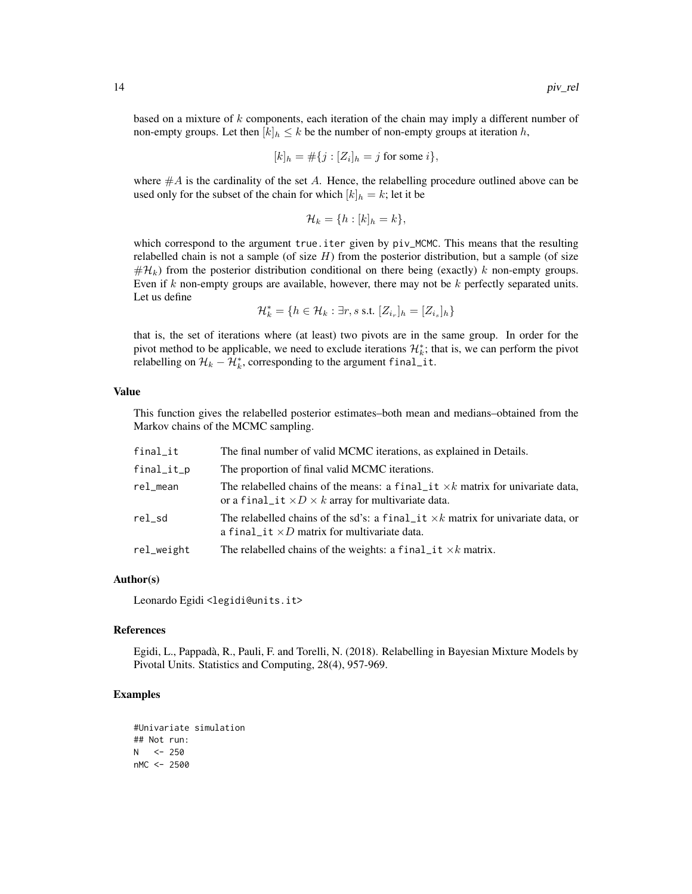based on a mixture of  $k$  components, each iteration of the chain may imply a different number of non-empty groups. Let then  $[k]_h \leq k$  be the number of non-empty groups at iteration h,

$$
[k]_h = #\{j : [Z_i]_h = j \text{ for some } i\},\
$$

where  $#A$  is the cardinality of the set  $A$ . Hence, the relabelling procedure outlined above can be used only for the subset of the chain for which  $[k]_h = k$ ; let it be

$$
\mathcal{H}_k = \{h : [k]_h = k\},\
$$

which correspond to the argument true.iter given by  $pi_MCMCMC$ . This means that the resulting relabelled chain is not a sample (of size  $H$ ) from the posterior distribution, but a sample (of size  $\#\mathcal{H}_k$ ) from the posterior distribution conditional on there being (exactly) k non-empty groups. Even if k non-empty groups are available, however, there may not be  $k$  perfectly separated units. Let us define

$$
\mathcal{H}^*_k = \{h \in \mathcal{H}_k : \exists r, s \text{ s.t. } [Z_{i_r}]_h = [Z_{i_s}]_h\}
$$

that is, the set of iterations where (at least) two pivots are in the same group. In order for the pivot method to be applicable, we need to exclude iterations  $\mathcal{H}_k^*$ ; that is, we can perform the pivot relabelling on  $\mathcal{H}_k - \mathcal{H}_k^*$ , corresponding to the argument final\_it.

#### Value

This function gives the relabelled posterior estimates–both mean and medians–obtained from the Markov chains of the MCMC sampling.

| final_it   | The final number of valid MCMC iterations, as explained in Details.                                                                                        |
|------------|------------------------------------------------------------------------------------------------------------------------------------------------------------|
| final_it_p | The proportion of final valid MCMC iterations.                                                                                                             |
| rel_mean   | The relabelled chains of the means: a final $\pm i \times k$ matrix for univariate data,<br>or a final it $\times D \times k$ array for multivariate data. |
| rel sd     | The relabelled chains of the sd's: a final $\pm i \times k$ matrix for univariate data, or<br>a final it $\times D$ matrix for multivariate data.          |
| rel_weight | The relabelled chains of the weights: a final $-it \times k$ matrix.                                                                                       |

#### Author(s)

Leonardo Egidi <legidi@units.it>

#### References

Egidi, L., Pappadà, R., Pauli, F. and Torelli, N. (2018). Relabelling in Bayesian Mixture Models by Pivotal Units. Statistics and Computing, 28(4), 957-969.

```
#Univariate simulation
## Not run:
N < -250nMC <- 2500
```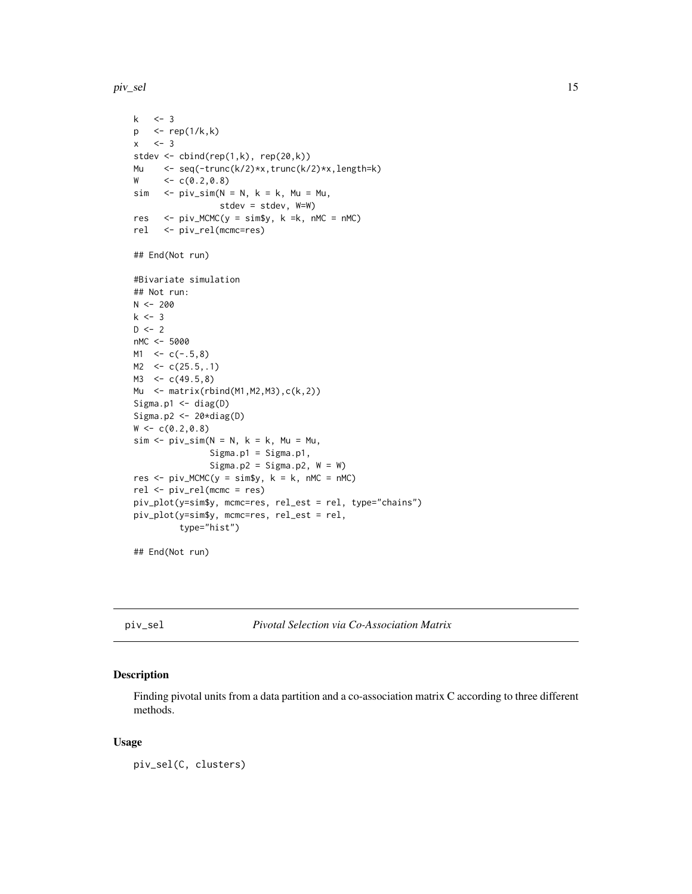<span id="page-14-0"></span>piv\_sel the contract of the contract of the contract of the contract of the contract of the contract of the contract of the contract of the contract of the contract of the contract of the contract of the contract of the co

```
k \leq -3p \le - rep(1/k,k)
x \le -3stdev \le cbind(rep(1,k), rep(20,k))
Mu <- seq(-trunc(k/2)*x,trunc(k/2)*x,length=k)
W \leq C(0.2, 0.8)sim \ <- pi\_sim(N = N, k = k, Mu = Mu,stdev = stdev, W=W)
res \le piv_MCMC(y = sim$y, k =k, nMC = nMC)
rel <- piv_rel(mcmc=res)
## End(Not run)
#Bivariate simulation
## Not run:
N < -200k \le -3D \le -2nMC <- 5000
M1 < -c(-.5, 8)M2 < -c(25.5, .1)M3 <-c(49.5,8)Mu <- matrix(rbind(M1,M2,M3),c(k,2))
Sigma.p1 <- diag(D)
Sigma.p2 <- 20*diag(D)
W < -c(0.2, 0.8)sim < piv_sim(N = N, k = k, Mu = Mu,
               Sigma.p1 = Signa.p1,Sigma.p2 = Sigma.p2, W = W)
res < - piv_MCMC(y = sim\{s}y, k = k, nMC = nMC)
rel <- piv_rel(mcmc = res)
piv_plot(y=sim$y, mcmc=res, rel_est = rel, type="chains")
piv_plot(y=sim$y, mcmc=res, rel_est = rel,
         type="hist")
```
## End(Not run)

piv\_sel *Pivotal Selection via Co-Association Matrix*

#### Description

Finding pivotal units from a data partition and a co-association matrix C according to three different methods.

#### Usage

piv\_sel(C, clusters)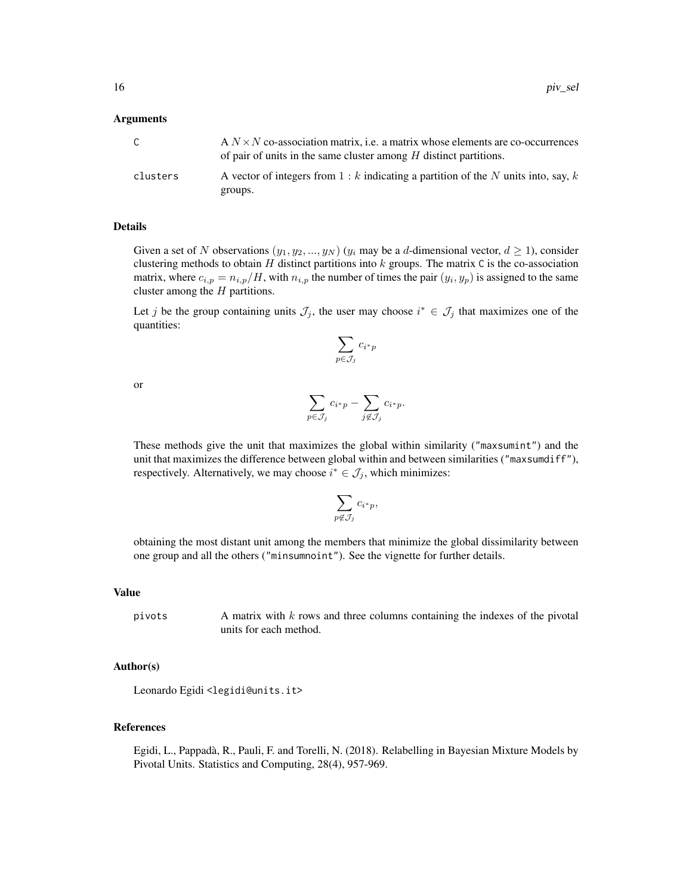#### Arguments

|          | $A N \times N$ co-association matrix, i.e. a matrix whose elements are co-occurrences<br>of pair of units in the same cluster among $H$ distinct partitions. |
|----------|--------------------------------------------------------------------------------------------------------------------------------------------------------------|
| clusters | A vector of integers from $1 : k$ indicating a partition of the N units into, say, k<br>groups.                                                              |

#### Details

Given a set of N observations  $(y_1, y_2, ..., y_N)$   $(y_i$  may be a d-dimensional vector,  $d \ge 1$ ), consider clustering methods to obtain H distinct partitions into  $k$  groups. The matrix C is the co-association matrix, where  $c_{i,p} = n_{i,p}/H$ , with  $n_{i,p}$  the number of times the pair  $(y_i, y_p)$  is assigned to the same cluster among the  $H$  partitions.

Let j be the group containing units  $\mathcal{J}_j$ , the user may choose  $i^* \in \mathcal{J}_j$  that maximizes one of the quantities:

$$
\sum_{p\in \mathcal{J}_j} c_{i^*p}
$$

or

$$
\sum_{p \in \mathcal{J}_j} c_{i^*p} - \sum_{j \notin \mathcal{J}_j} c_{i^*p}.
$$

These methods give the unit that maximizes the global within similarity ("maxsumint") and the unit that maximizes the difference between global within and between similarities ("maxsumdiff"), respectively. Alternatively, we may choose  $i^* \in \mathcal{J}_j$ , which minimizes:

$$
\sum_{p \not\in \mathcal{J}_j} c_{i^*p},
$$

obtaining the most distant unit among the members that minimize the global dissimilarity between one group and all the others ("minsumnoint"). See the vignette for further details.

#### Value

pivots A matrix with k rows and three columns containing the indexes of the pivotal units for each method.

#### Author(s)

Leonardo Egidi <legidi@units.it>

#### References

Egidi, L., Pappadà, R., Pauli, F. and Torelli, N. (2018). Relabelling in Bayesian Mixture Models by Pivotal Units. Statistics and Computing, 28(4), 957-969.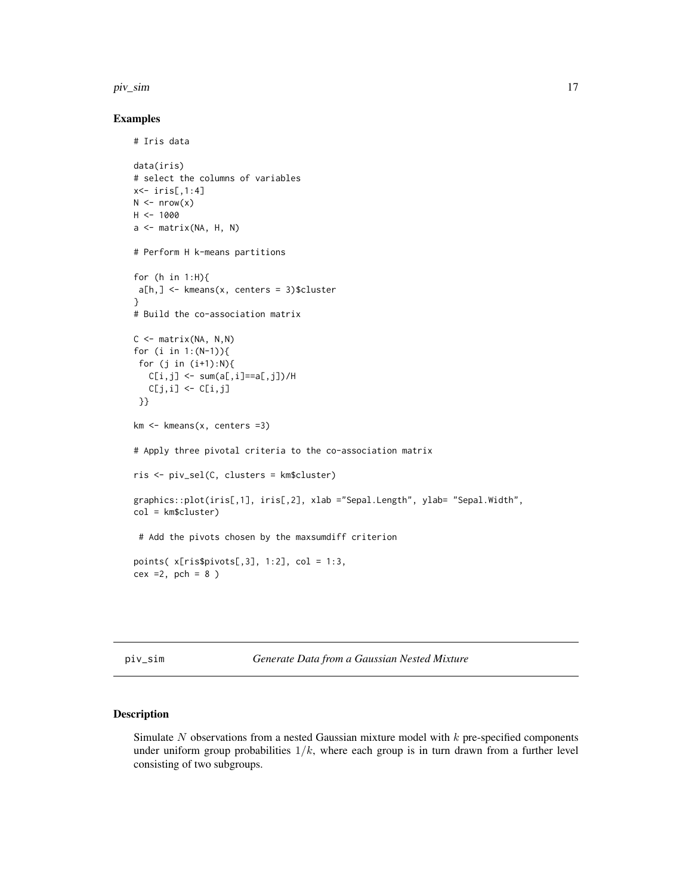#### <span id="page-16-0"></span>piv\_sim 17

#### Examples

# Iris data

```
data(iris)
# select the columns of variables
x<- iris[,1:4]
N \leq -nrow(x)H < - 1000a <- matrix(NA, H, N)
# Perform H k-means partitions
for (h in 1:H){
a[h,] <- kmeans(x, centers = 3)$cluster
}
# Build the co-association matrix
C \le - matrix(NA, N,N)
for (i in 1:(N-1)){
 for (j in (i+1):N){
  C[i,j] <- sum(a[,i]==a[,j])/H
  C[j,i] \leftarrow C[i,j]}}
km < - kmeans(x, centers =3)
# Apply three pivotal criteria to the co-association matrix
ris <- piv_sel(C, clusters = km$cluster)
graphics::plot(iris[,1], iris[,2], xlab ="Sepal.Length", ylab= "Sepal.Width",
col = km$cluster)
 # Add the pivots chosen by the maxsumdiff criterion
points(x[ris$pivots[, 3], 1:2], col = 1:3,cex =2, pch = 8)
```
piv\_sim *Generate Data from a Gaussian Nested Mixture*

#### Description

Simulate  $N$  observations from a nested Gaussian mixture model with  $k$  pre-specified components under uniform group probabilities  $1/k$ , where each group is in turn drawn from a further level consisting of two subgroups.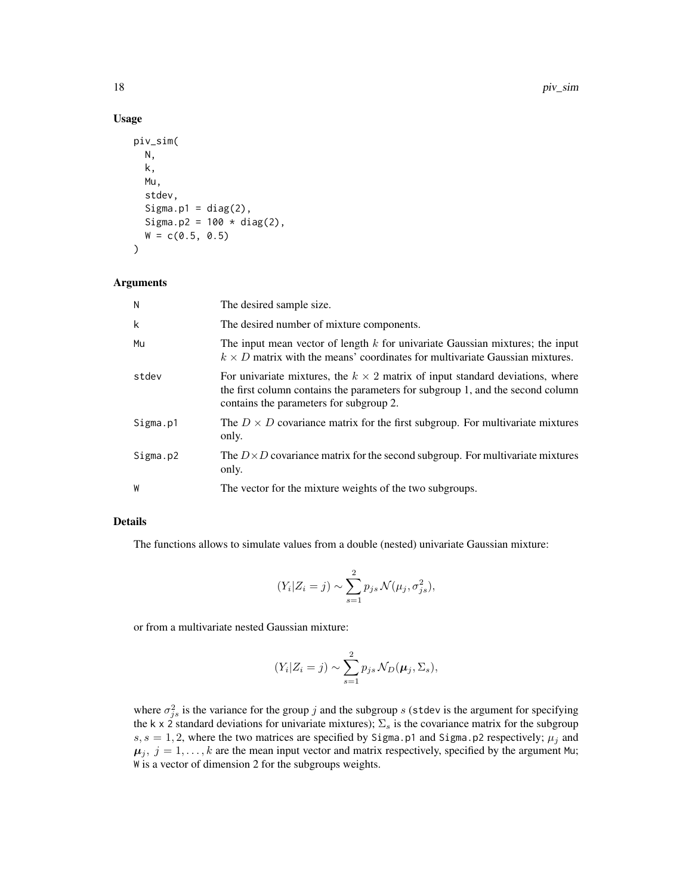#### Usage

```
piv_sim(
  N,
  k,
  Mu,
  stdev,
  Sigma.p1 = diag(2),
  Sigma.p2 = 100 * diag(2),
  W = c(0.5, 0.5)\mathcal{L}
```
#### Arguments

| N        | The desired sample size.                                                                                                                                                                                          |
|----------|-------------------------------------------------------------------------------------------------------------------------------------------------------------------------------------------------------------------|
| k        | The desired number of mixture components.                                                                                                                                                                         |
| Mu       | The input mean vector of length $k$ for univariate Gaussian mixtures; the input<br>$k \times D$ matrix with the means' coordinates for multivariate Gaussian mixtures.                                            |
| stdev    | For univariate mixtures, the $k \times 2$ matrix of input standard deviations, where<br>the first column contains the parameters for subgroup 1, and the second column<br>contains the parameters for subgroup 2. |
| Sigma.p1 | The $D \times D$ covariance matrix for the first subgroup. For multivariate mixtures<br>only.                                                                                                                     |
| Sigma.p2 | The $D \times D$ covariance matrix for the second subgroup. For multivariate mixtures<br>only.                                                                                                                    |
| W        | The vector for the mixture weights of the two subgroups.                                                                                                                                                          |

#### Details

The functions allows to simulate values from a double (nested) univariate Gaussian mixture:

$$
(Y_i|Z_i = j) \sim \sum_{s=1}^2 p_{js} \mathcal{N}(\mu_j, \sigma_{js}^2),
$$

or from a multivariate nested Gaussian mixture:

$$
(Y_i|Z_i=j) \sim \sum_{s=1}^2 p_{js} \mathcal{N}_D(\boldsymbol{\mu}_j, \Sigma_s),
$$

where  $\sigma_{js}^2$  is the variance for the group j and the subgroup s (stdev is the argument for specifying the k x 2 standard deviations for univariate mixtures);  $\Sigma_s$  is the covariance matrix for the subgroup  $s, s = 1, 2$ , where the two matrices are specified by Sigma.p1 and Sigma.p2 respectively;  $\mu_j$  and  $\mu_j$ ,  $j = 1, \ldots, k$  are the mean input vector and matrix respectively, specified by the argument Mu; W is a vector of dimension 2 for the subgroups weights.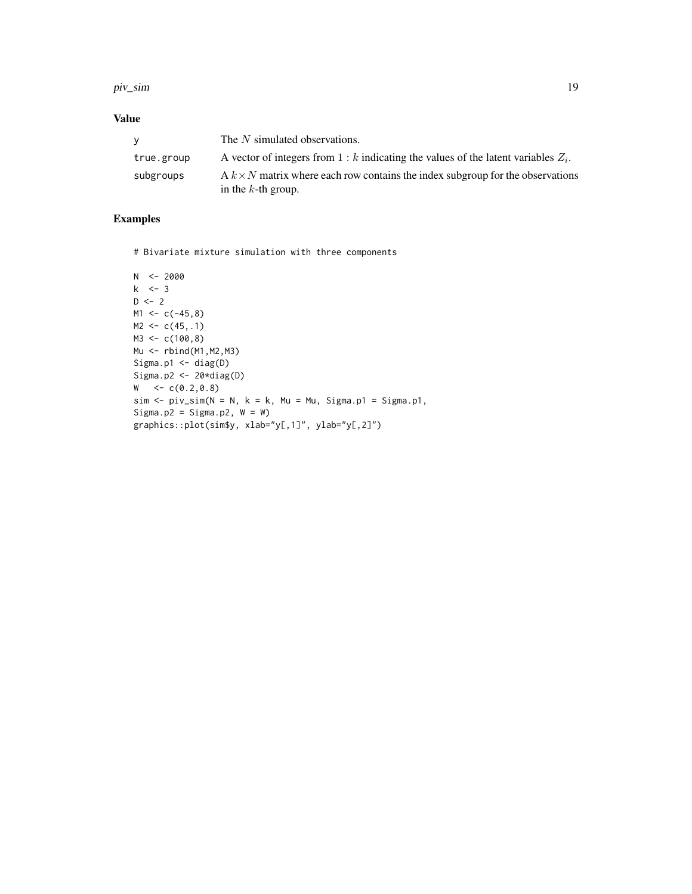#### piv\_sim and the contract of the contract of the contract of the contract of the contract of the contract of the contract of the contract of the contract of the contract of the contract of the contract of the contract of th

#### Value

| v          | The N simulated observations.                                                                                  |
|------------|----------------------------------------------------------------------------------------------------------------|
| true.group | A vector of integers from $1 : k$ indicating the values of the latent variables $Z_i$ .                        |
| subgroups  | A $k \times N$ matrix where each row contains the index subgroup for the observations<br>in the $k$ -th group. |

#### Examples

# Bivariate mixture simulation with three components

```
N <- 2000
k \le -3D \le -2M1 < -c(-45, 8)M2 < -c(45, .1)M3 < -c(100, 8)Mu <- rbind(M1,M2,M3)
Sigma.p1 <- diag(D)
Sigma.p2 <- 20*diag(D)
W < -c(0.2, 0.8)sim < - piv_sim(N = N, k = k, Mu = Mu, Sigma.p1 = Sigma.p1,
Sigma.p2 = Sigma.p2, W = W)
graphics::plot(sim$y, xlab="y[,1]", ylab="y[,2]")
```